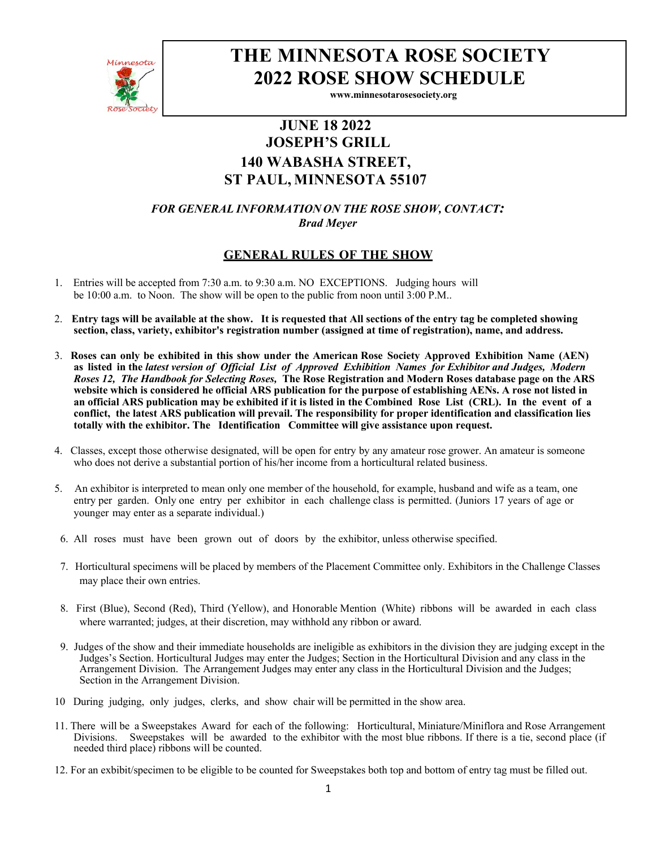

# **THE MINNESOTA ROSE SOCIETY 2022 ROSE SHOW SCHEDULE**

**www.minnesotarosesociety.org**

# **JUNE 18 2022 JOSEPH'S GRILL 140 WABASHA STREET, ST PAUL, MINNESOTA 55107**

*FOR GENERAL INFORMATION ON THE ROSE SHOW, CONTACT: Brad Meyer* 

## **GENERAL RULES OF THE SHOW**

- 1. Entries will be accepted from 7:30 a.m. to 9:30 a.m. NO EXCEPTIONS. Judging hours will be 10:00 a.m. to Noon. The show will be open to the public from noon until 3:00 P.M..
- 2. **Entry tags will be available at the show. It is requested that All sections of the entry tag be completed showing section, class, variety, exhibitor's registration number (assigned at time of registration), name, and address.**
- 3. **Roses can only be exhibited in this show under the American Rose Society Approved Exhibition Name (AEN) as listed in the** *latest version of Official List of Approved Exhibition Names for Exhibitor and Judges, Modern Roses 12, The Handbook for Selecting Roses,* **The Rose Registration and Modern Roses database page on the ARS website which is considered he official ARS publication for the purpose of establishing AENs. A rose not listed in an official ARS publication may be exhibited if it is listed in the Combined Rose List (CRL). In the event of a conflict, the latest ARS publication will prevail. The responsibility for proper identification and classification lies totally with the exhibitor. The Identification Committee will give assistance upon request.**
- 4. Classes, except those otherwise designated, will be open for entry by any amateur rose grower. An amateur is someone who does not derive a substantial portion of his/her income from a horticultural related business.
- 5. An exhibitor is interpreted to mean only one member of the household, for example, husband and wife as a team, one entry per garden. Only one entry per exhibitor in each challenge class is permitted. (Juniors 17 years of age or younger may enter as a separate individual.)
- 6. All roses must have been grown out of doors by the exhibitor, unless otherwise specified.
- 7. Horticultural specimens will be placed by members of the Placement Committee only. Exhibitors in the Challenge Classes may place their own entries.
- 8. First (Blue), Second (Red), Third (Yellow), and Honorable Mention (White) ribbons will be awarded in each class where warranted; judges, at their discretion, may withhold any ribbon or award.
- 9. Judges of the show and their immediate households are ineligible as exhibitors in the division they are judging except in the Judges's Section. Horticultural Judges may enter the Judges; Section in the Horticultural Division and any class in the Arrangement Division. The Arrangement Judges may enter any class in the Horticultural Division and the Judges; Section in the Arrangement Division.
- 10 During judging, only judges, clerks, and show chair will be permitted in the show area.
- 11. There will be a Sweepstakes Award for each of the following: Horticultural, Miniature/Miniflora and Rose Arrangement Divisions. Sweepstakes will be awarded to the exhibitor with the most blue ribbons. If there is a tie, second place (if needed third place) ribbons will be counted.
- 12. For an exbibit/specimen to be eligible to be counted for Sweepstakes both top and bottom of entry tag must be filled out.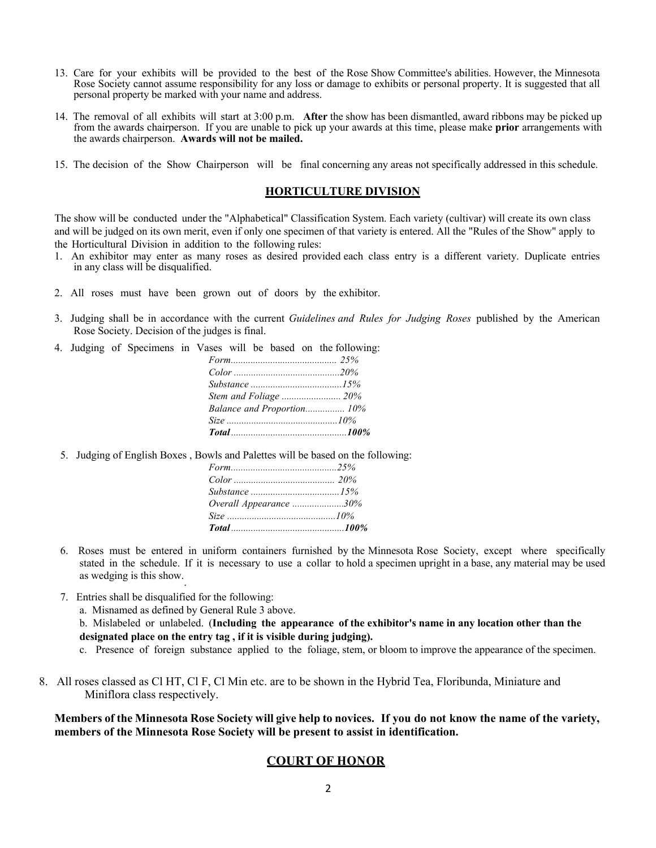- 13. Care for your exhibits will be provided to the best of the Rose Show Committee's abilities. However, the Minnesota Rose Society cannot assume responsibility for any loss or damage to exhibits or personal property. It is suggested that all personal property be marked with your name and address.
- 14. The removal of all exhibits will start at 3:00 p.m. **After** the show has been dismantled, award ribbons may be picked up from the awards chairperson. If you are unable to pick up your awards at this time, please make **prior** arrangements with the awards chairperson. **Awards will not be mailed.**
- 15. The decision of the Show Chairperson will be final concerning any areas not specifically addressed in this schedule.

#### **HORTICULTURE DIVISION**

The show will be conducted under the "Alphabetical" Classification System. Each variety (cultivar) will create its own class and will be judged on its own merit, even if only one specimen of that variety is entered. All the "Rules of the Show" apply to the Horticultural Division in addition to the following rules:

- 1. An exhibitor may enter as many roses as desired provided each class entry is a different variety. Duplicate entries in any class will be disqualified.
- 2. All roses must have been grown out of doors by the exhibitor.
- 3. Judging shall be in accordance with the current *Guidelines and Rules for Judging Roses* published by the American Rose Society. Decision of the judges is final.
- 4. Judging of Specimens in Vases will be based on the following:

| Substance $\ldots$ $15\%$  |  |
|----------------------------|--|
| Stem and Foliage  20%      |  |
| Balance and Proportion 10% |  |
| Size $10\%$                |  |
|                            |  |

5. Judging of English Boxes , Bowls and Palettes will be based on the following:

| Overall Appearance 30% |  |
|------------------------|--|
|                        |  |
| Total 200%             |  |

- 6. Roses must be entered in uniform containers furnished by the Minnesota Rose Society, except where specifically stated in the schedule. If it is necessary to use a collar to hold a specimen upright in a base, any material may be used as wedging is this show..
- 7. Entries shall be disqualified for the following:
	- a. Misnamed as defined by General Rule 3 above.

b. Mislabeled or unlabeled. (**Including the appearance of the exhibitor's name in any location other than the designated place on the entry tag , if it is visible during judging).**

- c. Presence of foreign substance applied to the foliage, stem, or bloom to improve the appearance of the specimen.
- 8. All roses classed as Cl HT, Cl F, Cl Min etc. are to be shown in the Hybrid Tea, Floribunda, Miniature and Miniflora class respectively.

**Members of the Minnesota Rose Society will give help to novices. If you do not know the name of the variety, members of the Minnesota Rose Society will be present to assist in identification.**

#### **COURT OF HONOR**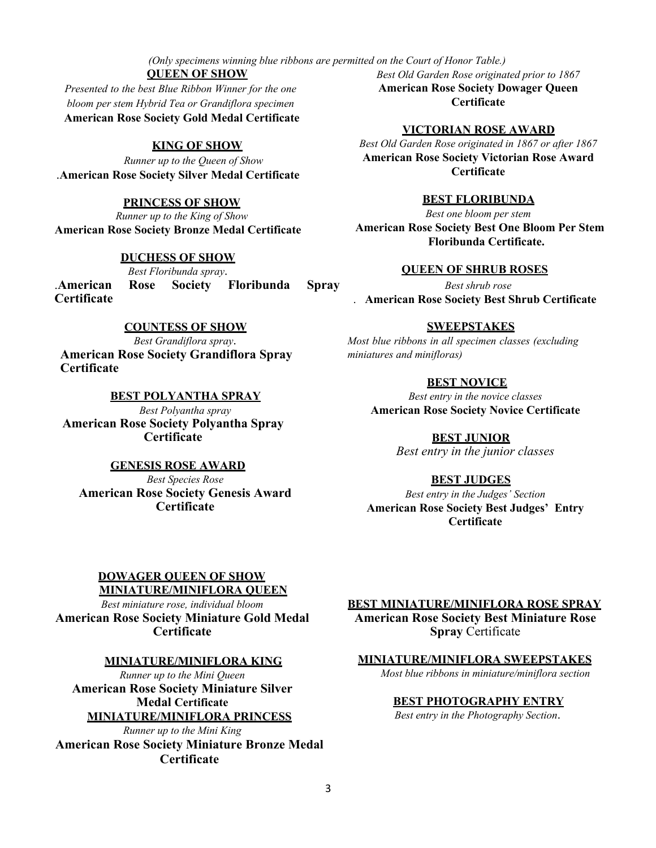*(Only specimens winning blue ribbons are permitted on the Court of Honor Table.)*

## **QUEEN OF SHOW**

*Presented to the best Blue Ribbon Winner for the one bloom per stem Hybrid Tea or Grandiflora specimen* **American Rose Society Gold Medal Certificate**

#### **KING OF SHOW**

*Runner up to the Queen of Show* .**American Rose Society Silver Medal Certificate**

#### **PRINCESS OF SHOW**

*Runner up to the King of Show* **American Rose Society Bronze Medal Certificate**

#### **DUCHESS OF SHOW**

*Best Floribunda spray*. .**American Rose Society Floribunda Spray Certificate**

#### **COUNTESS OF SHOW**

*Best Grandiflora spray*. **American Rose Society Grandiflora Spray Certificate**

#### **BEST POLYANTHA SPRAY**

*Best Polyantha spray* **American Rose Society Polyantha Spray Certificate**

#### **GENESIS ROSE AWARD**

*Best Species Rose* **American Rose Society Genesis Award Certificate**

*Best Old Garden Rose originated prior to 1867* **American Rose Society Dowager Queen Certificate**

#### **VICTORIAN ROSE AWARD**

*Best Old Garden Rose originated in 1867 or after 1867* **American Rose Society Victorian Rose Award Certificate**

#### **BEST FLORIBUNDA**

*Best one bloom per stem* **American Rose Society Best One Bloom Per Stem Floribunda Certificate.**

#### **QUEEN OF SHRUB ROSES**

*Best shrub rose* . **American Rose Society Best Shrub Certificate**

#### **SWEEPSTAKES**

*Most blue ribbons in all specimen classes (excluding miniatures and minifloras)*

#### **BEST NOVICE**

*Best entry in the novice classes* **American Rose Society Novice Certificate**

> **BEST JUNIOR** *Best entry in the junior classes*

#### **BEST JUDGES**

*Best entry in the Judges' Section* **American Rose Society Best Judges' Entry Certificate**

#### **DOWAGER QUEEN OF SHOW MINIATURE/MINIFLORA QUEEN**

*Best miniature rose, individual bloom* **American Rose Society Miniature Gold Medal Certificate**

#### **MINIATURE/MINIFLORA KING**

*Runner up to the Mini Queen* **American Rose Society Miniature Silver Medal Certificate MINIATURE/MINIFLORA PRINCESS**

*Runner up to the Mini King* **American Rose Society Miniature Bronze Medal Certificate**

**BEST MINIATURE/MINIFLORA ROSE SPRAY American Rose Society Best Miniature Rose** 

**Spray** Certificate

#### **MINIATURE/MINIFLORA SWEEPSTAKES**

*Most blue ribbons in miniature/miniflora section*

#### **BEST PHOTOGRAPHY ENTRY**

*Best entry in the Photography Section*.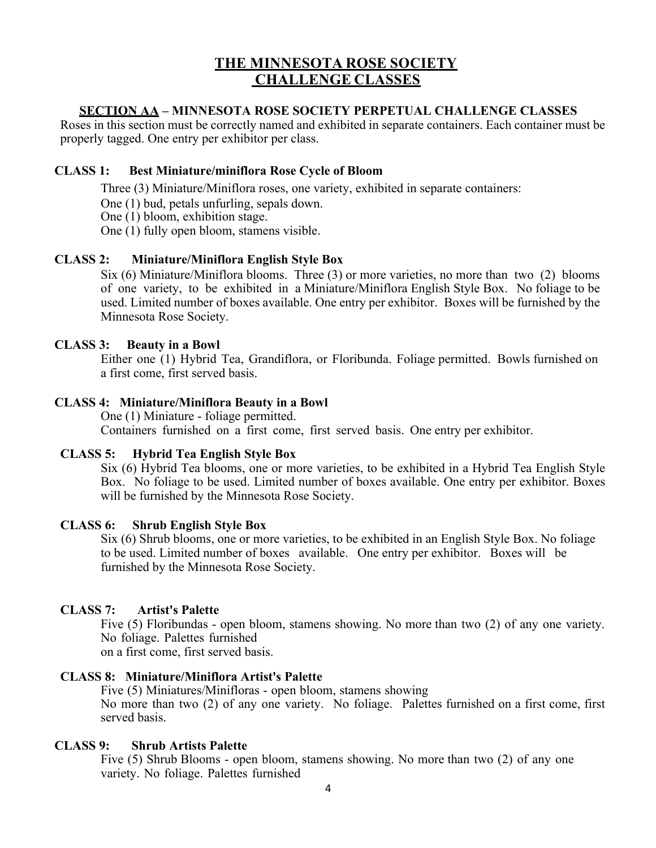# **THE MINNESOTA ROSE SOCIETY CHALLENGE CLASSES**

## **SECTION AA – MINNESOTA ROSE SOCIETY PERPETUAL CHALLENGE CLASSES**

Roses in this section must be correctly named and exhibited in separate containers. Each container must be properly tagged. One entry per exhibitor per class.

### **CLASS 1: Best Miniature/miniflora Rose Cycle of Bloom**

Three (3) Miniature/Miniflora roses, one variety, exhibited in separate containers:

One (1) bud, petals unfurling, sepals down.

One (1) bloom, exhibition stage.

One (1) fully open bloom, stamens visible.

## **CLASS 2: Miniature/Miniflora English Style Box**

Six (6) Miniature/Miniflora blooms. Three (3) or more varieties, no more than two (2) blooms of one variety, to be exhibited in a Miniature/Miniflora English Style Box. No foliage to be used. Limited number of boxes available. One entry per exhibitor. Boxes will be furnished by the Minnesota Rose Society.

### **CLASS 3: Beauty in a Bowl**

Either one (1) Hybrid Tea, Grandiflora, or Floribunda. Foliage permitted. Bowls furnished on a first come, first served basis.

## **CLASS 4: Miniature/Miniflora Beauty in a Bowl**

One (1) Miniature - foliage permitted. Containers furnished on a first come, first served basis. One entry per exhibitor.

### **CLASS 5: Hybrid Tea English Style Box**

Six (6) Hybrid Tea blooms, one or more varieties, to be exhibited in a Hybrid Tea English Style Box. No foliage to be used. Limited number of boxes available. One entry per exhibitor. Boxes will be furnished by the Minnesota Rose Society.

### **CLASS 6: Shrub English Style Box**

Six (6) Shrub blooms, one or more varieties, to be exhibited in an English Style Box. No foliage to be used. Limited number of boxes available. One entry per exhibitor. Boxes will be furnished by the Minnesota Rose Society.

# **CLASS 7: Artist's Palette**

Five (5) Floribundas - open bloom, stamens showing. No more than two (2) of any one variety. No foliage. Palettes furnished

on a first come, first served basis.

### **CLASS 8: Miniature/Miniflora Artist's Palette**

Five (5) Miniatures/Minifloras - open bloom, stamens showing No more than two (2) of any one variety. No foliage. Palettes furnished on a first come, first served basis.

### **CLASS 9: Shrub Artists Palette**

Five (5) Shrub Blooms - open bloom, stamens showing. No more than two (2) of any one variety. No foliage. Palettes furnished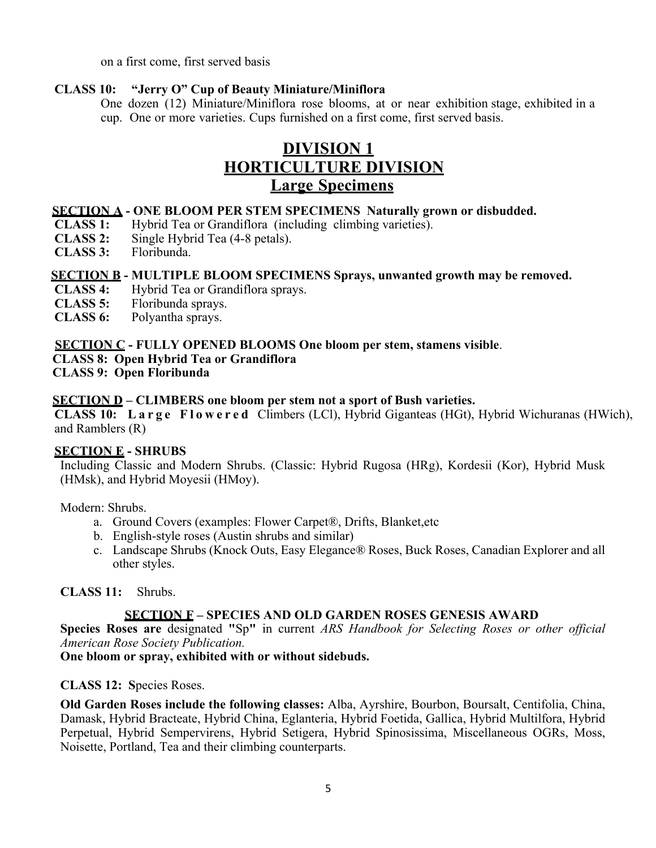on a first come, first served basis

### **CLASS 10: "Jerry O" Cup of Beauty Miniature/Miniflora**

One dozen (12) Miniature/Miniflora rose blooms, at or near exhibition stage, exhibited in a cup. One or more varieties. Cups furnished on a first come, first served basis.

# **DIVISION 1 HORTICULTURE DIVISION Large Specimens**

## **SECTION A - ONE BLOOM PER STEM SPECIMENS Naturally grown or disbudded.**

- **CLASS 1:** Hybrid Tea or Grandiflora (including climbing varieties).
- **CLASS 2:** Single Hybrid Tea (4-8 petals).
- **CLASS 3:** Floribunda.

## **SECTION B - MULTIPLE BLOOM SPECIMENS Sprays, unwanted growth may be removed.**

- **CLASS 4:** Hybrid Tea or Grandiflora sprays.
- **CLASS 5:** Floribunda sprays.
- **CLASS 6:** Polyantha sprays.

## **SECTION C - FULLY OPENED BLOOMS One bloom per stem, stamens visible**.

### **CLASS 8: Open Hybrid Tea or Grandiflora**

**CLASS 9: Open Floribunda**

## **SECTION D – CLIMBERS one bloom per stem not a sport of Bush varieties.**

**CLASS 10: Large F l owered** Climbers (LCl), Hybrid Giganteas (HGt), Hybrid Wichuranas (HWich), and Ramblers (R)

### **SECTION E - SHRUBS**

Including Classic and Modern Shrubs. (Classic: Hybrid Rugosa (HRg), Kordesii (Kor), Hybrid Musk (HMsk), and Hybrid Moyesii (HMoy).

Modern: Shrubs.

- a. Ground Covers (examples: Flower Carpet®, Drifts, Blanket,etc
- b. English-style roses (Austin shrubs and similar)
- c. Landscape Shrubs (Knock Outs, Easy Elegance® Roses, Buck Roses, Canadian Explorer and all other styles.

**CLASS 11:** Shrubs.

### **SECTION F – SPECIES AND OLD GARDEN ROSES GENESIS AWARD**

**Species Roses are** designated **"**Sp**"** in current *ARS Handbook for Selecting Roses or other official American Rose Society Publication.*

### **One bloom or spray, exhibited with or without sidebuds.**

### **CLASS 12: S**pecies Roses.

**Old Garden Roses include the following classes:** Alba, Ayrshire, Bourbon, Boursalt, Centifolia, China, Damask, Hybrid Bracteate, Hybrid China, Eglanteria, Hybrid Foetida, Gallica, Hybrid Multilfora, Hybrid Perpetual, Hybrid Sempervirens, Hybrid Setigera, Hybrid Spinosissima, Miscellaneous OGRs, Moss, Noisette, Portland, Tea and their climbing counterparts.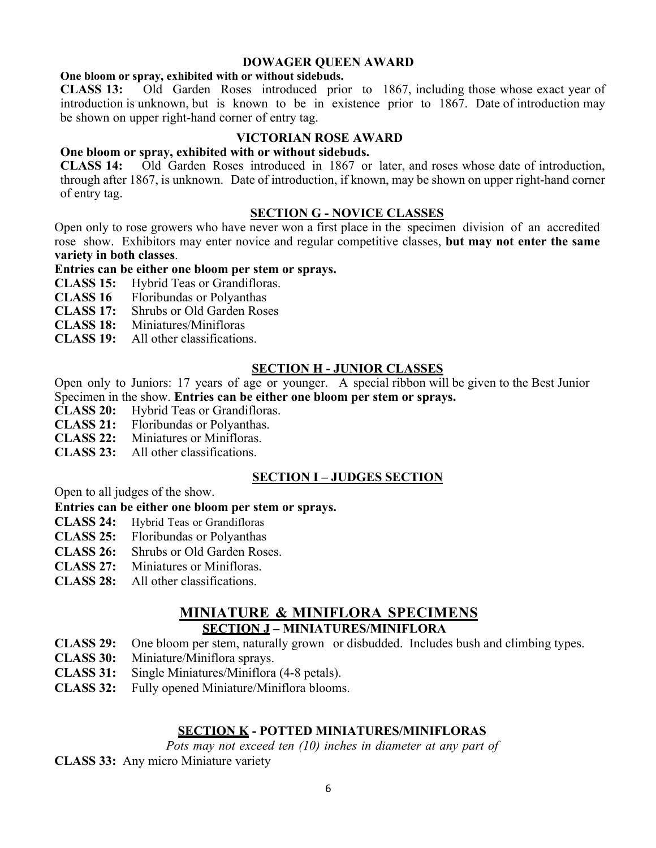#### **DOWAGER QUEEN AWARD**

#### **One bloom or spray, exhibited with or without sidebuds.**

**CLASS 13:** Old Garden Roses introduced prior to 1867, including those whose exact year of introduction is unknown, but is known to be in existence prior to 1867. Date of introduction may be shown on upper right-hand corner of entry tag.

#### **VICTORIAN ROSE AWARD**

#### **One bloom or spray, exhibited with or without sidebuds.**

**CLASS 14:** Old Garden Roses introduced in 1867 or later, and roses whose date of introduction, through after 1867, is unknown. Date of introduction, if known, may be shown on upper right-hand corner of entry tag.

### **SECTION G - NOVICE CLASSES**

Open only to rose growers who have never won a first place in the specimen division of an accredited rose show. Exhibitors may enter novice and regular competitive classes, **but may not enter the same variety in both classes**.

### **Entries can be either one bloom per stem or sprays.**

- **CLASS 15:** Hybrid Teas or Grandifloras.
- **CLASS 16** Floribundas or Polyanthas<br>**CLASS 17:** Shrubs or Old Garden Rose
- **Shrubs or Old Garden Roses**
- **CLASS 18:** Miniatures/Minifloras
- **CLASS 19:** All other classifications.

### **SECTION H - JUNIOR CLASSES**

Open only to Juniors: 17 years of age or younger. A special ribbon will be given to the Best Junior Specimen in the show. **Entries can be either one bloom per stem or sprays.**

- **CLASS 20:** Hybrid Teas or Grandifloras.
- **CLASS 21:** Floribundas or Polyanthas.
- **CLASS 22:** Miniatures or Minifloras.
- **CLASS 23:** All other classifications.

### **SECTION I – JUDGES SECTION**

Open to all judges of the show.

## **Entries can be either one bloom per stem or sprays.**

- **CLASS 24:** Hybrid Teas or Grandifloras
- **CLASS 25:** Floribundas or Polyanthas
- **CLASS 26:** Shrubs or Old Garden Roses.
- **CLASS 27:** Miniatures or Minifloras.
- **CLASS 28:** All other classifications.

# **MINIATURE & MINIFLORA SPECIMENS**

# **SECTION J – MINIATURES/MINIFLORA**

- **CLASS 29:** One bloom per stem, naturally grown or disbudded. Includes bush and climbing types.
- **CLASS 30:** Miniature/Miniflora sprays.
- **CLASS 31:** Single Miniatures/Miniflora (4-8 petals).
- **CLASS 32:** Fully opened Miniature/Miniflora blooms.

# **SECTION K - POTTED MINIATURES/MINIFLORAS**

*Pots may not exceed ten (10) inches in diameter at any part of* 

**CLASS 33:** Any micro Miniature variety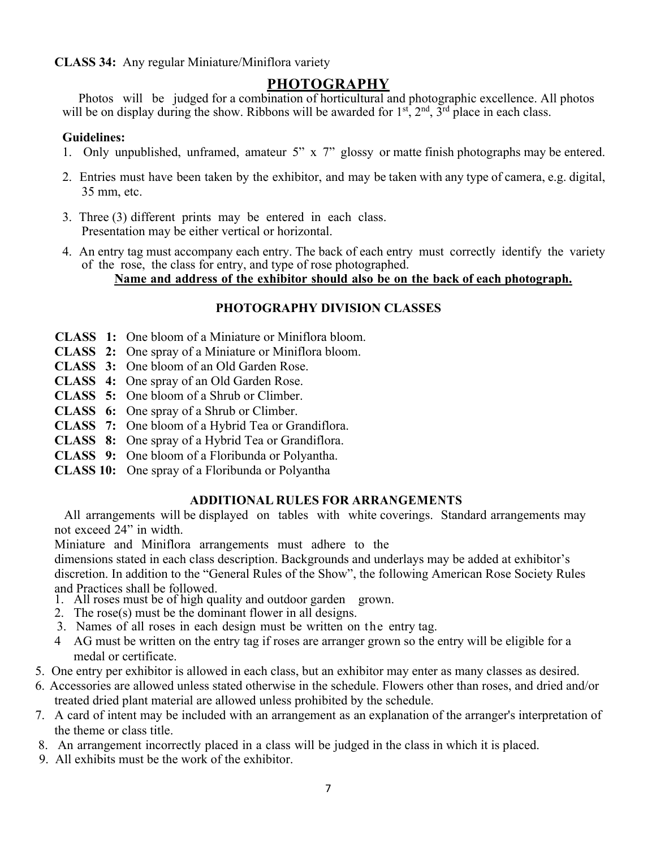**CLASS 34:** Any regular Miniature/Miniflora variety

# **PHOTOGRAPHY**

 $\mathcal{L}_{\mathcal{D}}$  and display during the only be on display during the only be on display during the only be on display during the only be only be only be only be only be only be only be only be only be only be only be only Photos will be judged for a combination of horticultural and photographic excellence. All photos will be on display during the show. Ribbons will be awarded for  $1<sup>st</sup>$ ,  $2<sup>nd</sup>$ ,  $3<sup>rd</sup>$  place in each class.

# $$

- 1. Only unpublished, unframed, amateur 5" x 7" glossy or matte finish photographs may be entered.
- 2. Entries must have been taken by the exhibitor, and may be taken with any type of camera, e.g. digital, 35 mm, etc.
- 3. Three (3) different prints may be entered in each class. Presentation may be either vertical or horizontal.
- 4. An entry tag must accompany each entry. The back of each entry must correctly identify the variety of the rose, the class for entry, and type of rose photographed.

**Name and address of the exhibitor should also be on the back of each photograph.**

# **PHOTOGRAPHY DIVISION CLASSES**

- **CLASS 1:** One bloom of a Miniature or Miniflora bloom.
- **CLASS 2:** One spray of a Miniature or Miniflora bloom.
- **CLASS 3:** One bloom of an Old Garden Rose.
- **CLASS 4:** One spray of an Old Garden Rose.
- **CLASS 5:** One bloom of a Shrub or Climber.
- **CLASS 6:** One spray of a Shrub or Climber.
- **CLASS 7:** One bloom of a Hybrid Tea or Grandiflora.
- **CLASS 8:** One spray of a Hybrid Tea or Grandiflora.
- **CLASS 9:** One bloom of a Floribunda or Polyantha.
- **CLASS 10:** One spray of a Floribunda or Polyantha

# **ADDITIONAL RULES FOR ARRANGEMENTS**

All arrangements will be displayed on tables with white coverings. Standard arrangements may not exceed 24" in width.

Miniature and Miniflora arrangements must adhere to the

dimensions stated in each class description. Backgrounds and underlays may be added at exhibitor's discretion. In addition to the "General Rules of the Show", the following American Rose Society Rules and Practices shall be followed.

- 1. All roses must be of high quality and outdoor garden grown.
- 2. The rose(s) must be the dominant flower in all designs.
- 3. Names of all roses in each design must be written on the entry tag.
- 4 AG must be written on the entry tag if roses are arranger grown so the entry will be eligible for a medal or certificate.
- 5. One entry per exhibitor is allowed in each class, but an exhibitor may enter as many classes as desired.
- 6. Accessories are allowed unless stated otherwise in the schedule. Flowers other than roses, and dried and/or treated dried plant material are allowed unless prohibited by the schedule.
- 7. A card of intent may be included with an arrangement as an explanation of the arranger's interpretation of the theme or class title.
- 8. An arrangement incorrectly placed in a class will be judged in the class in which it is placed.
- 9. All exhibits must be the work of the exhibitor.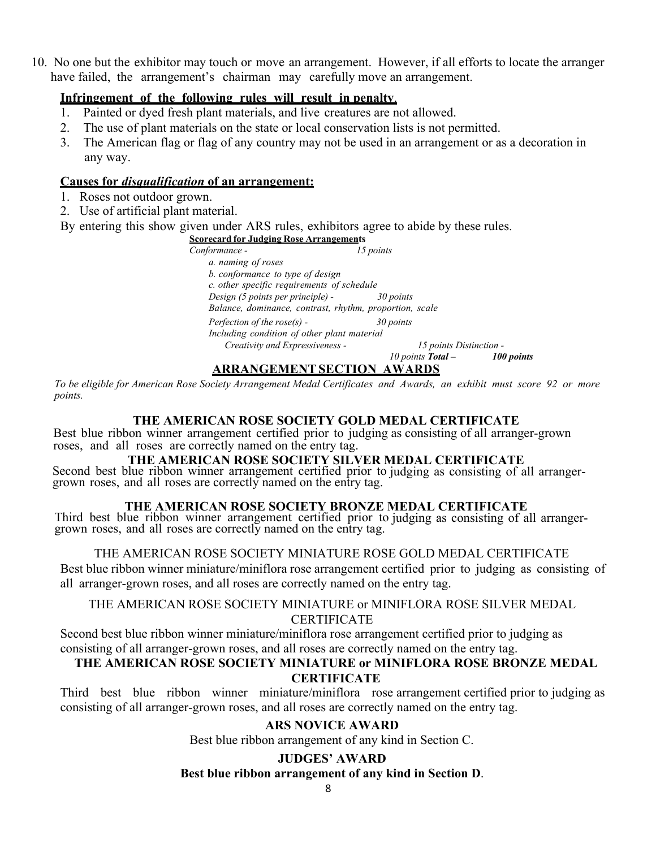10. No one but the exhibitor may touch or move an arrangement. However, if all efforts to locate the arranger have failed, the arrangement's chairman may carefully move an arrangement.

## **Infringement of the following rules will result in penalty**.

- 1. Painted or dyed fresh plant materials, and live creatures are not allowed.
- 2. The use of plant materials on the state or local conservation lists is not permitted.
- 3. The American flag or flag of any country may not be used in an arrangement or as a decoration in any way.

## **Causes for** *disqualification* **of an arrangement:**

- 1. Roses not outdoor grown.
- 2. Use of artificial plant material.

By entering this show given under ARS rules, exhibitors agree to abide by these rules.

#### **Scorecard for Judging Rose Arrangements**

*Conformance - 15 points a. naming of roses b. conformance to type of design c. other specific requirements of schedule Design (5 points per principle) - 30 points Balance, dominance, contrast, rhythm, proportion, scale Perfection of the rose(s) - 30 points Including condition of other plant material Creativity and Expressiveness - 15 points Distinction - 10 points Total – 100 points*

## **ARRANGEMENTSECTION AWARDS**

*To be eligible for American Rose Society Arrangement Medal Certificates and Awards, an exhibit must score 92 or more points.*

# **THE AMERICAN ROSE SOCIETY GOLD MEDAL CERTIFICATE**

Best blue ribbon winner arrangement certified prior to judging as consisting of all arranger-grown roses, and all roses are correctly named on the entry tag.

# **THE AMERICAN ROSE SOCIETY SILVER MEDAL CERTIFICATE**

Second best blue ribbon winner arrangement certified prior to judging as consisting of all arranger- grown roses, and all roses are correctly named on the entry tag.

### **THE AMERICAN ROSE SOCIETY BRONZE MEDAL CERTIFICATE**

Third best blue ribbon winner arrangement certified prior to judging as consisting of all arranger- grown roses, and all roses are correctly named on the entry tag.

### THE AMERICAN ROSE SOCIETY MINIATURE ROSE GOLD MEDAL CERTIFICATE

Best blue ribbon winner miniature/miniflora rose arrangement certified prior to judging as consisting of all arranger-grown roses, and all roses are correctly named on the entry tag.

# THE AMERICAN ROSE SOCIETY MINIATURE or MINIFLORA ROSE SILVER MEDAL

### **CERTIFICATE**

Second best blue ribbon winner miniature/miniflora rose arrangement certified prior to judging as consisting of all arranger-grown roses, and all roses are correctly named on the entry tag.

# **THE AMERICAN ROSE SOCIETY MINIATURE or MINIFLORA ROSE BRONZE MEDAL CERTIFICATE**

Third best blue ribbon winner miniature/miniflora rose arrangement certified prior to judging as consisting of all arranger-grown roses, and all roses are correctly named on the entry tag.

# **ARS NOVICE AWARD**

Best blue ribbon arrangement of any kind in Section C.

# **JUDGES' AWARD**

**Best blue ribbon arrangement of any kind in Section D**.